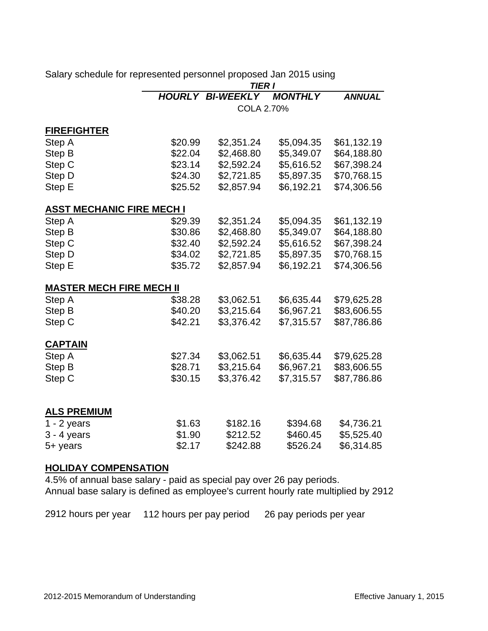|                                  | <b>TIER I</b> |                         |                |               |  |
|----------------------------------|---------------|-------------------------|----------------|---------------|--|
|                                  |               | <b>HOURLY BI-WEEKLY</b> | <b>MONTHLY</b> | <b>ANNUAL</b> |  |
|                                  |               | COLA 2.70%              |                |               |  |
| <b>FIREFIGHTER</b>               |               |                         |                |               |  |
| Step A                           | \$20.99       | \$2,351.24              | \$5,094.35     | \$61,132.19   |  |
| Step B                           | \$22.04       | \$2,468.80              | \$5,349.07     | \$64,188.80   |  |
| Step C                           | \$23.14       | \$2,592.24              | \$5,616.52     | \$67,398.24   |  |
| Step D                           | \$24.30       | \$2,721.85              | \$5,897.35     | \$70,768.15   |  |
| Step E                           | \$25.52       | \$2,857.94              | \$6,192.21     | \$74,306.56   |  |
| <b>ASST MECHANIC FIRE MECH I</b> |               |                         |                |               |  |
| Step A                           | \$29.39       | \$2,351.24              | \$5,094.35     | \$61,132.19   |  |
| Step B                           | \$30.86       | \$2,468.80              | \$5,349.07     | \$64,188.80   |  |
| Step C                           | \$32.40       | \$2,592.24              | \$5,616.52     | \$67,398.24   |  |
| Step D                           | \$34.02       | \$2,721.85              | \$5,897.35     | \$70,768.15   |  |
| Step E                           | \$35.72       | \$2,857.94              | \$6,192.21     | \$74,306.56   |  |
| <b>MASTER MECH FIRE MECH II</b>  |               |                         |                |               |  |
| Step A                           | \$38.28       | \$3,062.51              | \$6,635.44     | \$79,625.28   |  |
| Step B                           | \$40.20       | \$3,215.64              | \$6,967.21     | \$83,606.55   |  |
| Step C                           | \$42.21       | \$3,376.42              | \$7,315.57     | \$87,786.86   |  |
| <b>CAPTAIN</b>                   |               |                         |                |               |  |
| Step A                           | \$27.34       | \$3,062.51              | \$6,635.44     | \$79,625.28   |  |
| Step B                           | \$28.71       | \$3,215.64              | \$6,967.21     | \$83,606.55   |  |
| Step C                           | \$30.15       | \$3,376.42              | \$7,315.57     | \$87,786.86   |  |
|                                  |               |                         |                |               |  |
| <b>ALS PREMIUM</b>               |               |                         |                |               |  |
| $1 - 2$ years                    | \$1.63        | \$182.16                | \$394.68       | \$4,736.21    |  |
| $3 - 4$ years                    | \$1.90        | \$212.52                | \$460.45       | \$5,525.40    |  |
| 5+ years                         | \$2.17        | \$242.88                | \$526.24       | \$6,314.85    |  |
| <b>HOLIDAY COMPENSATION</b>      |               |                         |                |               |  |

Salary schedule for represented personnel proposed Jan 2015 using

4.5% of annual base salary - paid as special pay over 26 pay periods. Annual base salary is defined as employee's current hourly rate multiplied by 2912

2912 hours per year 112 hours per pay period 26 pay periods per year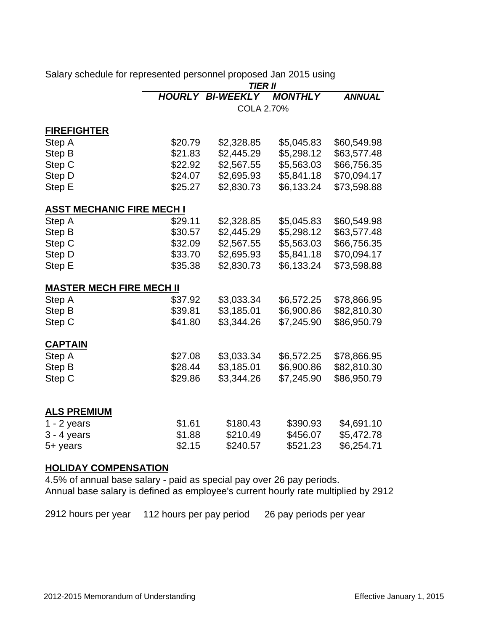|                                  |                  | <b>TIER II</b>          |                |               |  |  |
|----------------------------------|------------------|-------------------------|----------------|---------------|--|--|
|                                  |                  | <b>HOURLY BI-WEEKLY</b> | <b>MONTHLY</b> | <b>ANNUAL</b> |  |  |
|                                  | COLA 2.70%       |                         |                |               |  |  |
| <b>FIREFIGHTER</b>               |                  |                         |                |               |  |  |
| Step A                           | \$20.79          | \$2,328.85              | \$5,045.83     | \$60,549.98   |  |  |
| Step B                           | \$21.83          | \$2,445.29              | \$5,298.12     | \$63,577.48   |  |  |
| Step C                           | \$22.92          | \$2,567.55              | \$5,563.03     | \$66,756.35   |  |  |
| Step D                           | \$24.07          | \$2,695.93              | \$5,841.18     | \$70,094.17   |  |  |
| Step E                           | \$25.27          | \$2,830.73              | \$6,133.24     | \$73,598.88   |  |  |
| <b>ASST MECHANIC FIRE MECH I</b> |                  |                         |                |               |  |  |
| Step A                           | \$29.11          | \$2,328.85              | \$5,045.83     | \$60,549.98   |  |  |
| Step B                           | \$30.57          | \$2,445.29              | \$5,298.12     | \$63,577.48   |  |  |
| Step C                           | \$32.09          | \$2,567.55              | \$5,563.03     | \$66,756.35   |  |  |
| Step D                           | \$33.70          | \$2,695.93              | \$5,841.18     | \$70,094.17   |  |  |
| Step E                           | \$35.38          | \$2,830.73              | \$6,133.24     | \$73,598.88   |  |  |
| <b>MASTER MECH FIRE MECH II</b>  |                  |                         |                |               |  |  |
| Step A                           | \$37.92          | \$3,033.34              | \$6,572.25     | \$78,866.95   |  |  |
| Step B                           | \$39.81          | \$3,185.01              | \$6,900.86     | \$82,810.30   |  |  |
| Step C                           | \$41.80          | \$3,344.26              | \$7,245.90     | \$86,950.79   |  |  |
| <b>CAPTAIN</b>                   |                  |                         |                |               |  |  |
| Step A                           | \$27.08          | \$3,033.34              | \$6,572.25     | \$78,866.95   |  |  |
| Step B                           | \$28.44          | \$3,185.01              | \$6,900.86     | \$82,810.30   |  |  |
| Step C                           | \$29.86          | \$3,344.26              | \$7,245.90     | \$86,950.79   |  |  |
|                                  |                  |                         |                |               |  |  |
| <b>ALS PREMIUM</b>               |                  |                         |                |               |  |  |
| $1 - 2$ years                    | \$1.61           | \$180.43                | \$390.93       | \$4,691.10    |  |  |
| $3 - 4$ years                    | \$1.88<br>\$2.15 | \$210.49                | \$456.07       | \$5,472.78    |  |  |
| 5+ years                         |                  | \$240.57                | \$521.23       | \$6,254.71    |  |  |
| <b>HOLIDAY COMPENSATION</b>      |                  |                         |                |               |  |  |

Salary schedule for represented personnel proposed Jan 2015 using

4.5% of annual base salary - paid as special pay over 26 pay periods. Annual base salary is defined as employee's current hourly rate multiplied by 2912

2912 hours per year 112 hours per pay period 26 pay periods per year